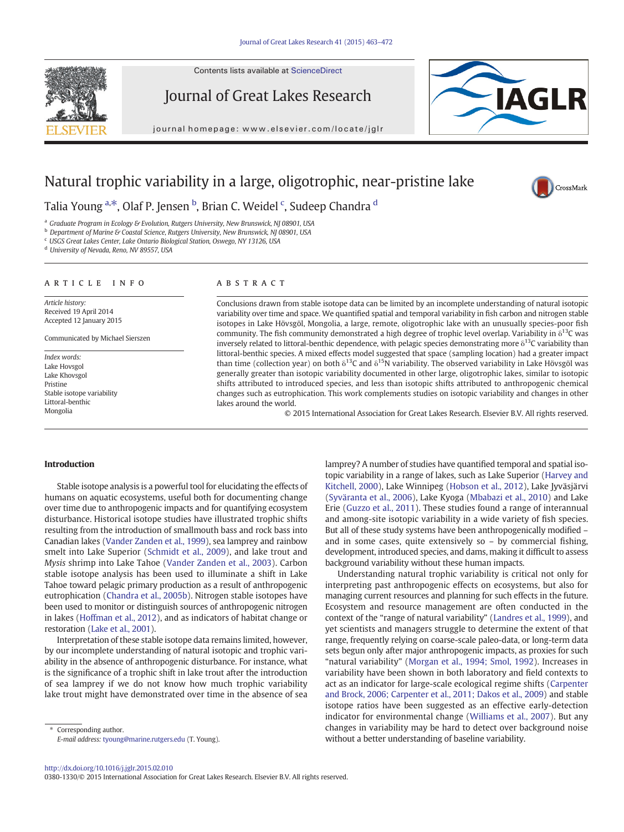Contents lists available at ScienceDirect

Journal of Great Lakes Research

journal homepage: www.elsevier.com/locate/jglr



CrossMark

# Natural trophic variability in a large, oligotrophic, near-pristine lake

Talia Young <sup>a,\*</sup>, Olaf P. Jensen <sup>b</sup>, Brian C. Weidel <sup>c</sup>, Sudeep Chandra <sup>d</sup>

<sup>a</sup> Graduate Program in Ecology & Evolution, Rutgers University, New Brunswick, NJ 08901, USA

b Department of Marine & Coastal Science, Rutgers University, New Brunswick, NJ 08901, USA

<sup>c</sup> USGS Great Lakes Center, Lake Ontario Biological Station, Oswego, NY 13126, USA

<sup>d</sup> University of Nevada, Reno, NV 89557, USA

#### article info abstract

Article history: Received 19 April 2014 Accepted 12 January 2015

Communicated by Michael Sierszen

Conclusions drawn from stable isotope data can be limited by an incomplete understanding of natural isotopic variability over time and space. We quantified spatial and temporal variability in fish carbon and nitrogen stable isotopes in Lake Hövsgöl, Mongolia, a large, remote, oligotrophic lake with an unusually species-poor fish community. The fish community demonstrated a high degree of trophic level overlap. Variability in  $\delta^{13}C$  was inversely related to littoral-benthic dependence, with pelagic species demonstrating more  $\delta^{13}$ C variability than littoral-benthic species. A mixed effects model suggested that space (sampling location) had a greater impact than time (collection year) on both  $\delta^{13}C$  and  $\delta^{15}N$  variability. The observed variability in Lake Hövsgöl was generally greater than isotopic variability documented in other large, oligotrophic lakes, similar to isotopic shifts attributed to introduced species, and less than isotopic shifts attributed to anthropogenic chemical changes such as eutrophication. This work complements studies on isotopic variability and changes in other lakes around the world.

© 2015 International Association for Great Lakes Research. Elsevier B.V. All rights reserved.

### Introduction

Stable isotope analysis is a powerful tool for elucidating the effects of humans on aquatic ecosystems, useful both for documenting change over time due to anthropogenic impacts and for quantifying ecosystem disturbance. Historical isotope studies have illustrated trophic shifts resulting from the introduction of smallmouth bass and rock bass into Canadian lakes [\(Vander Zanden et al., 1999](#page-9-0)), sea lamprey and rainbow smelt into Lake Superior ([Schmidt et al., 2009\)](#page-9-0), and lake trout and Mysis shrimp into Lake Tahoe [\(Vander Zanden et al., 2003](#page-9-0)). Carbon stable isotope analysis has been used to illuminate a shift in Lake Tahoe toward pelagic primary production as a result of anthropogenic eutrophication ([Chandra et al., 2005b\)](#page-8-0). Nitrogen stable isotopes have been used to monitor or distinguish sources of anthropogenic nitrogen in lakes [\(Hoffman et al., 2012](#page-8-0)), and as indicators of habitat change or restoration [\(Lake et al., 2001\)](#page-9-0).

Interpretation of these stable isotope data remains limited, however, by our incomplete understanding of natural isotopic and trophic variability in the absence of anthropogenic disturbance. For instance, what is the significance of a trophic shift in lake trout after the introduction of sea lamprey if we do not know how much trophic variability lake trout might have demonstrated over time in the absence of sea

Corresponding author. E-mail address: [tyoung@marine.rutgers.edu](mailto:tyoung@marine.rutgers.edu) (T. Young). lamprey? A number of studies have quantified temporal and spatial isotopic variability in a range of lakes, such as Lake Superior [\(Harvey and](#page-8-0) [Kitchell, 2000\)](#page-8-0), Lake Winnipeg [\(Hobson et al., 2012\)](#page-8-0), Lake Jyväsjärvi [\(Syväranta et al., 2006](#page-9-0)), Lake Kyoga ([Mbabazi et al., 2010\)](#page-9-0) and Lake Erie ([Guzzo et al., 2011](#page-8-0)). These studies found a range of interannual and among-site isotopic variability in a wide variety of fish species. But all of these study systems have been anthropogenically modified – and in some cases, quite extensively so – by commercial fishing, development, introduced species, and dams, making it difficult to assess background variability without these human impacts.

Understanding natural trophic variability is critical not only for interpreting past anthropogenic effects on ecosystems, but also for managing current resources and planning for such effects in the future. Ecosystem and resource management are often conducted in the context of the "range of natural variability" [\(Landres et al., 1999\)](#page-9-0), and yet scientists and managers struggle to determine the extent of that range, frequently relying on coarse-scale paleo-data, or long-term data sets begun only after major anthropogenic impacts, as proxies for such "natural variability" [\(Morgan et al., 1994; Smol, 1992\)](#page-9-0). Increases in variability have been shown in both laboratory and field contexts to act as an indicator for large-scale ecological regime shifts [\(Carpenter](#page-8-0) [and Brock, 2006; Carpenter et al., 2011; Dakos et al., 2009\)](#page-8-0) and stable isotope ratios have been suggested as an effective early-detection indicator for environmental change ([Williams et al., 2007](#page-9-0)). But any changes in variability may be hard to detect over background noise without a better understanding of baseline variability.

<http://dx.doi.org/10.1016/j.jglr.2015.02.010>

0380-1330/© 2015 International Association for Great Lakes Research. Elsevier B.V. All rights reserved.



Index words: Lake Hovsgol Lake Khovsgol Pristine Stable isotope variability Littoral-benthic Mongolia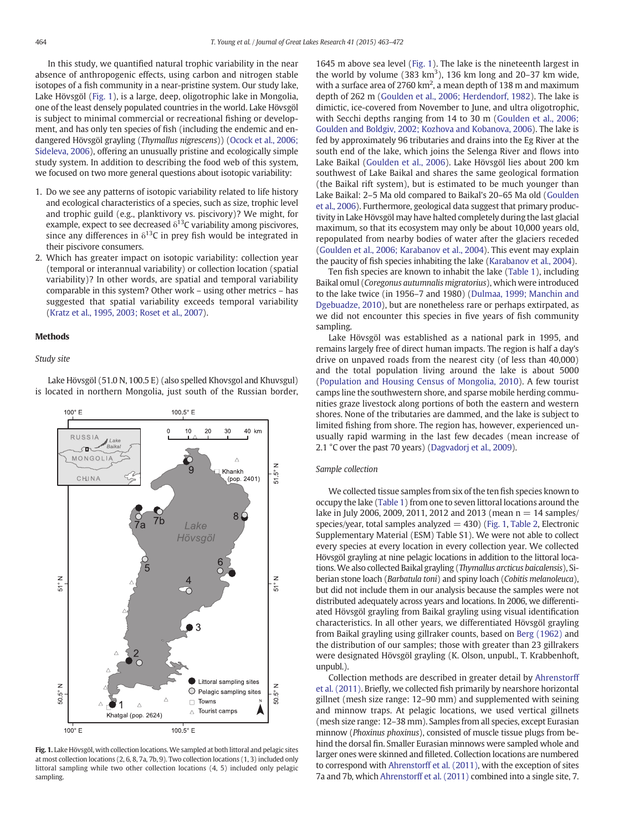<span id="page-1-0"></span>In this study, we quantified natural trophic variability in the near absence of anthropogenic effects, using carbon and nitrogen stable isotopes of a fish community in a near-pristine system. Our study lake, Lake Hövsgöl (Fig. 1), is a large, deep, oligotrophic lake in Mongolia, one of the least densely populated countries in the world. Lake Hövsgöl is subject to minimal commercial or recreational fishing or development, and has only ten species of fish (including the endemic and endangered Hövsgöl grayling (Thymallus nigrescens)) ([Ocock et al., 2006;](#page-9-0) [Sideleva, 2006](#page-9-0)), offering an unusually pristine and ecologically simple study system. In addition to describing the food web of this system, we focused on two more general questions about isotopic variability:

- 1. Do we see any patterns of isotopic variability related to life history and ecological characteristics of a species, such as size, trophic level and trophic guild (e.g., planktivory vs. piscivory)? We might, for example, expect to see decreased  $\delta^{13}$ C variability among piscivores, since any differences in  $\delta^{13}$ C in prey fish would be integrated in their piscivore consumers.
- 2. Which has greater impact on isotopic variability: collection year (temporal or interannual variability) or collection location (spatial variability)? In other words, are spatial and temporal variability comparable in this system? Other work – using other metrics – has suggested that spatial variability exceeds temporal variability ([Kratz et al., 1995, 2003; Roset et al., 2007\)](#page-9-0).

#### Methods

#### Study site

Lake Hövsgöl (51.0 N, 100.5 E) (also spelled Khovsgol and Khuvsgul) is located in northern Mongolia, just south of the Russian border,



1645 m above sea level (Fig. 1). The lake is the nineteenth largest in the world by volume (383  $km<sup>3</sup>$ ), 136 km long and 20–37 km wide, with a surface area of 2760  $km^2$ , a mean depth of 138 m and maximum depth of 262 m ([Goulden et al., 2006; Herdendorf, 1982](#page-8-0)). The lake is dimictic, ice-covered from November to June, and ultra oligotrophic, with Secchi depths ranging from 14 to 30 m ([Goulden et al., 2006;](#page-8-0) [Goulden and Boldgiv, 2002; Kozhova and Kobanova, 2006\)](#page-8-0). The lake is fed by approximately 96 tributaries and drains into the Eg River at the south end of the lake, which joins the Selenga River and flows into Lake Baikal ([Goulden et al., 2006](#page-8-0)). Lake Hövsgöl lies about 200 km southwest of Lake Baikal and shares the same geological formation (the Baikal rift system), but is estimated to be much younger than Lake Baikal: 2–5 Ma old compared to Baikal's 20–65 Ma old [\(Goulden](#page-8-0) [et al., 2006\)](#page-8-0). Furthermore, geological data suggest that primary productivity in Lake Hövsgöl may have halted completely during the last glacial maximum, so that its ecosystem may only be about 10,000 years old, repopulated from nearby bodies of water after the glaciers receded [\(Goulden et al., 2006; Karabanov et al., 2004\)](#page-8-0). This event may explain the paucity of fish species inhabiting the lake [\(Karabanov et al., 2004\)](#page-8-0).

Ten fish species are known to inhabit the lake [\(Table 1](#page-2-0)), including Baikal omul (Coregonus autumnalis migratorius), which were introduced to the lake twice (in 1956–7 and 1980) [\(Dulmaa, 1999; Manchin and](#page-8-0) [Dgebuadze, 2010](#page-8-0)), but are nonetheless rare or perhaps extirpated, as we did not encounter this species in five years of fish community sampling.

Lake Hövsgöl was established as a national park in 1995, and remains largely free of direct human impacts. The region is half a day's drive on unpaved roads from the nearest city (of less than 40,000) and the total population living around the lake is about 5000 [\(Population and Housing Census of Mongolia, 2010](#page-9-0)). A few tourist camps line the southwestern shore, and sparse mobile herding communities graze livestock along portions of both the eastern and western shores. None of the tributaries are dammed, and the lake is subject to limited fishing from shore. The region has, however, experienced unusually rapid warming in the last few decades (mean increase of 2.1 °C over the past 70 years) ([Dagvadorj et al., 2009\)](#page-8-0).

#### Sample collection

We collected tissue samples from six of the ten fish species known to occupy the lake [\(Table 1](#page-2-0)) from one to seven littoral locations around the lake in July 2006, 2009, 2011, 2012 and 2013 (mean  $n = 14$  samples/ species/year, total samples analyzed  $=$  430) (Fig. 1, [Table 2](#page-2-0), Electronic Supplementary Material (ESM) Table S1). We were not able to collect every species at every location in every collection year. We collected Hövsgöl grayling at nine pelagic locations in addition to the littoral locations.We also collected Baikal grayling (Thymallus arcticus baicalensis), Siberian stone loach (Barbatula toni) and spiny loach (Cobitis melanoleuca), but did not include them in our analysis because the samples were not distributed adequately across years and locations. In 2006, we differentiated Hövsgöl grayling from Baikal grayling using visual identification characteristics. In all other years, we differentiated Hövsgöl grayling from Baikal grayling using gillraker counts, based on [Berg \(1962\)](#page-8-0) and the distribution of our samples; those with greater than 23 gillrakers were designated Hövsgöl grayling (K. Olson, unpubl., T. Krabbenhoft, unpubl.).

Collection methods are described in greater detail by [Ahrenstorff](#page-8-0) [et al. \(2011\).](#page-8-0) Briefly, we collected fish primarily by nearshore horizontal gillnet (mesh size range: 12–90 mm) and supplemented with seining and minnow traps. At pelagic locations, we used vertical gillnets (mesh size range: 12–38 mm). Samples from all species, except Eurasian minnow (Phoxinus phoxinus), consisted of muscle tissue plugs from behind the dorsal fin. Smaller Eurasian minnows were sampled whole and larger ones were skinned and filleted. Collection locations are numbered to correspond with [Ahrenstorff et al. \(2011\)](#page-8-0), with the exception of sites 7a and 7b, which [Ahrenstorff et al. \(2011\)](#page-8-0) combined into a single site, 7.

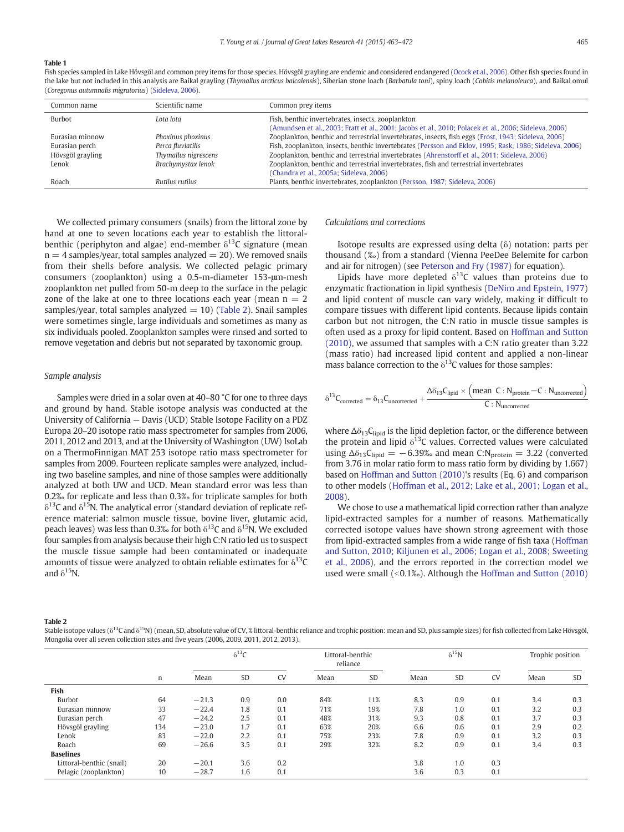#### <span id="page-2-0"></span>Table 1

Fish species sampled in Lake Hövsgöl and common prey items for those species. Hövsgöl grayling are endemic and considered endangered [\(Ocock et al., 2006\)](#page-9-0). Other fish species found in the lake but not included in this analysis are Baikal grayling (Thymallus arcticus baicalensis), Siberian stone loach (Barbatula toni), spiny loach (Cobitis melanoleuca), and Baikal omul (Coregonus autumnalis migratorius) [\(Sideleva, 2006\)](#page-9-0).

| Common name      | Scientific name      | Common prey items                                                                                                                                           |
|------------------|----------------------|-------------------------------------------------------------------------------------------------------------------------------------------------------------|
| <b>Burbot</b>    | Lota lota            | Fish, benthic invertebrates, insects, zooplankton<br>(Amundsen et al., 2003; Fratt et al., 2001; Jacobs et al., 2010; Polacek et al., 2006; Sideleva, 2006) |
| Eurasian minnow  | Phoxinus phoxinus    | Zooplankton, benthic and terrestrial invertebrates, insects, fish eggs (Frost, 1943; Sideleva, 2006)                                                        |
| Eurasian perch   | Perca fluviatilis    | Fish, zooplankton, insects, benthic invertebrates (Persson and Eklov, 1995; Rask, 1986; Sideleva, 2006)                                                     |
| Hövsgöl grayling | Thymallus nigrescens | Zooplankton, benthic and terrestrial invertebrates (Ahrenstorff et al., 2011; Sideleva, 2006)                                                               |
| Lenok            | Brachymystax lenok   | Zooplankton, benthic and terrestrial invertebrates, fish and terrestrial invertebrates                                                                      |
|                  |                      | (Chandra et al., 2005a; Sideleva, 2006)                                                                                                                     |
| Roach            | Rutilus rutilus      | Plants, benthic invertebrates, zooplankton (Persson, 1987; Sideleva, 2006)                                                                                  |

We collected primary consumers (snails) from the littoral zone by hand at one to seven locations each year to establish the littoralbenthic (periphyton and algae) end-member  $\delta^{13}$ C signature (mean  $n = 4$  samples/year, total samples analyzed  $= 20$ ). We removed snails from their shells before analysis. We collected pelagic primary consumers (zooplankton) using a 0.5-m-diameter 153-μm-mesh zooplankton net pulled from 50-m deep to the surface in the pelagic zone of the lake at one to three locations each year (mean  $n = 2$ samples/year, total samples analyzed  $= 10$ ) (Table 2). Snail samples were sometimes single, large individuals and sometimes as many as six individuals pooled. Zooplankton samples were rinsed and sorted to remove vegetation and debris but not separated by taxonomic group.

# Sample analysis

Samples were dried in a solar oven at 40–80 °C for one to three days and ground by hand. Stable isotope analysis was conducted at the University of California — Davis (UCD) Stable Isotope Facility on a PDZ Europa 20–20 isotope ratio mass spectrometer for samples from 2006, 2011, 2012 and 2013, and at the University of Washington (UW) IsoLab on a ThermoFinnigan MAT 253 isotope ratio mass spectrometer for samples from 2009. Fourteen replicate samples were analyzed, including two baseline samples, and nine of those samples were additionally analyzed at both UW and UCD. Mean standard error was less than 0.2‰ for replicate and less than 0.3‰ for triplicate samples for both  $\delta^{13}$ C and  $\delta^{15}$ N. The analytical error (standard deviation of replicate reference material: salmon muscle tissue, bovine liver, glutamic acid, peach leaves) was less than 0.3‰ for both  $\delta^{13}$ C and  $\delta^{15}$ N. We excluded four samples from analysis because their high C:N ratio led us to suspect the muscle tissue sample had been contaminated or inadequate amounts of tissue were analyzed to obtain reliable estimates for  $\delta^{13}$ C and  $\delta^{15}$ N.

#### Calculations and corrections

Isotope results are expressed using delta (δ) notation: parts per thousand (‰) from a standard (Vienna PeeDee Belemite for carbon and air for nitrogen) (see [Peterson and Fry \(1987\)](#page-9-0) for equation).

Lipids have more depleted  $\delta^{13}$ C values than proteins due to enzymatic fractionation in lipid synthesis ([DeNiro and Epstein, 1977](#page-8-0)) and lipid content of muscle can vary widely, making it difficult to compare tissues with different lipid contents. Because lipids contain carbon but not nitrogen, the C:N ratio in muscle tissue samples is often used as a proxy for lipid content. Based on [Hoffman and Sutton](#page-8-0) [\(2010\)](#page-8-0), we assumed that samples with a C:N ratio greater than 3.22 (mass ratio) had increased lipid content and applied a non-linear mass balance correction to the  $\delta^{13}$ C values for those samples:

$$
\delta^{13}C_{corrected} = \delta_{13}C_{uncorrected} + \frac{\Delta \delta_{13}C_{lipid} \times \left(mean ~ C : N_{protein} - C : N_{uncorrected}\right)}{C : N_{uncorrected}}
$$

where  $\Delta \delta_{13} C_{lipid}$  is the lipid depletion factor, or the difference between the protein and lipid  $\delta^{13}$ C values. Corrected values were calculated using  $\Delta \delta_{13} C_{\text{lipid}} = -6.39\%$  and mean C:N<sub>protein</sub> = 3.22 (converted from 3.76 in molar ratio form to mass ratio form by dividing by 1.667) based on [Hoffman and Sutton \(2010\)](#page-8-0)'s results (Eq. 6) and comparison to other models ([Hoffman et al., 2012; Lake et al., 2001; Logan et al.,](#page-8-0) [2008](#page-8-0)).

We chose to use a mathematical lipid correction rather than analyze lipid-extracted samples for a number of reasons. Mathematically corrected isotope values have shown strong agreement with those from lipid-extracted samples from a wide range of fish taxa [\(Hoffman](#page-8-0) [and Sutton, 2010; Kiljunen et al., 2006; Logan et al., 2008; Sweeting](#page-8-0) [et al., 2006](#page-8-0)), and the errors reported in the correction model we used were small  $($ <0.1‰). Although the Hoffman and Sutton  $(2010)$ 

#### Table 2

Stable isotope values (δ<sup>13</sup>C and δ<sup>15</sup>N) (mean, SD, absolute value of CV, % littoral-benthic reliance and trophic position: mean and SD, plus sample sizes) for fish collected from Lake Hövsgöl, Mongolia over all seven collection sites and five years (2006, 2009, 2011, 2012, 2013).

|                          |     | $\delta^{13}C$ |     | Littoral-benthic<br>reliance |      | $\delta^{15}N$ |      | Trophic position |           |      |     |
|--------------------------|-----|----------------|-----|------------------------------|------|----------------|------|------------------|-----------|------|-----|
|                          | n   | Mean           | SD  | <b>CV</b>                    | Mean | SD             | Mean | <b>SD</b>        | <b>CV</b> | Mean | SD  |
| Fish                     |     |                |     |                              |      |                |      |                  |           |      |     |
| Burbot                   | 64  | $-21.3$        | 0.9 | 0.0                          | 84%  | 11%            | 8.3  | 0.9              | 0.1       | 3.4  | 0.3 |
| Eurasian minnow          | 33  | $-22.4$        | 1.8 | 0.1                          | 71%  | 19%            | 7.8  | 1.0              | 0.1       | 3.2  | 0.3 |
| Eurasian perch           | 47  | $-24.2$        | 2.5 | 0.1                          | 48%  | 31%            | 9.3  | 0.8              | 0.1       | 3.7  | 0.3 |
| Hövsgöl grayling         | 134 | $-23.0$        | 1.7 | 0.1                          | 63%  | 20%            | 6.6  | 0.6              | 0.1       | 2.9  | 0.2 |
| Lenok                    | 83  | $-22.0$        | 2.2 | 0.1                          | 75%  | 23%            | 7.8  | 0.9              | 0.1       | 3.2  | 0.3 |
| Roach                    | 69  | $-26.6$        | 3.5 | 0.1                          | 29%  | 32%            | 8.2  | 0.9              | 0.1       | 3.4  | 0.3 |
| <b>Baselines</b>         |     |                |     |                              |      |                |      |                  |           |      |     |
| Littoral-benthic (snail) | 20  | $-20.1$        | 3.6 | 0.2                          |      |                | 3.8  | 1.0              | 0.3       |      |     |
| Pelagic (zooplankton)    | 10  | $-28.7$        | 1.6 | 0.1                          |      |                | 3.6  | 0.3              | 0.1       |      |     |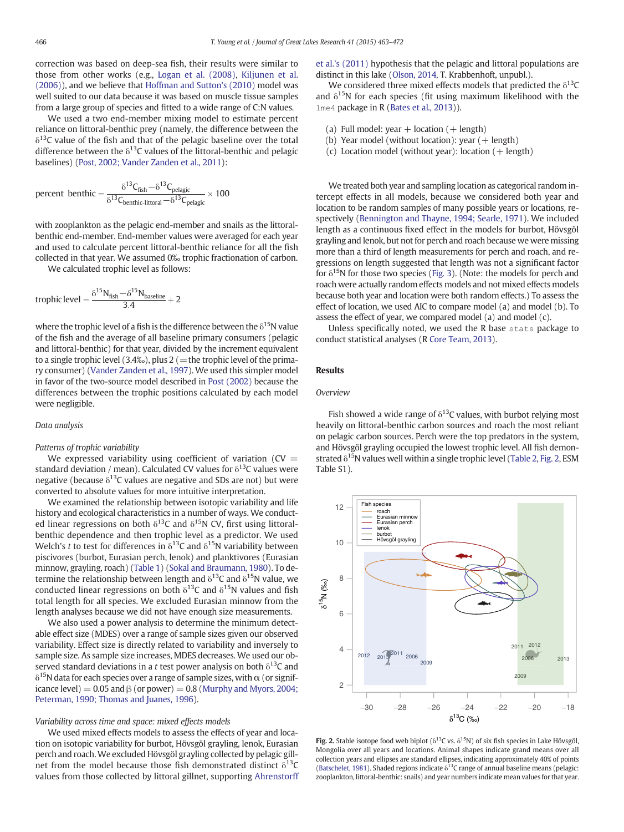<span id="page-3-0"></span>correction was based on deep-sea fish, their results were similar to those from other works (e.g., [Logan et al. \(2008\)](#page-9-0), [Kiljunen et al.](#page-9-0) [\(2006\)\)](#page-9-0), and we believe that [Hoffman and Sutton's \(2010\)](#page-8-0) model was well suited to our data because it was based on muscle tissue samples from a large group of species and fitted to a wide range of C:N values.

We used a two end-member mixing model to estimate percent reliance on littoral-benthic prey (namely, the difference between the  $\delta^{13}$ C value of the fish and that of the pelagic baseline over the total difference between the  $\delta^{13}$ C values of the littoral-benthic and pelagic baselines) [\(Post, 2002; Vander Zanden et al., 2011](#page-9-0)):

$$
\text{percent benthic} = \frac{\delta^{13}C_{fish} - \delta^{13}C_{pelagic}}{\delta^{13}C_{benthic-litoral} - \delta^{13}C_{pelagic}} \times 100
$$

with zooplankton as the pelagic end-member and snails as the littoralbenthic end-member. End-member values were averaged for each year and used to calculate percent littoral-benthic reliance for all the fish collected in that year. We assumed 0‰ trophic fractionation of carbon.

We calculated trophic level as follows:

$$
trophic level = \frac{\delta^{15} N_{fish} - \delta^{15} N_{baseline}}{3.4} + 2
$$

where the trophic level of a fish is the difference between the  $\delta^{15}N$  value of the fish and the average of all baseline primary consumers (pelagic and littoral-benthic) for that year, divided by the increment equivalent to a single trophic level (3.4‰), plus 2 (=the trophic level of the primary consumer) [\(Vander Zanden et al., 1997\)](#page-9-0). We used this simpler model in favor of the two-source model described in [Post \(2002\)](#page-9-0) because the differences between the trophic positions calculated by each model were negligible.

#### Data analysis

#### Patterns of trophic variability

We expressed variability using coefficient of variation ( $CV =$ standard deviation / mean). Calculated CV values for  $\delta^{13}$ C values were negative (because  $\delta^{13}$ C values are negative and SDs are not) but were converted to absolute values for more intuitive interpretation.

We examined the relationship between isotopic variability and life history and ecological characteristics in a number of ways. We conducted linear regressions on both  $\delta^{13}$ C and  $\delta^{15}$ N CV, first using littoralbenthic dependence and then trophic level as a predictor. We used Welch's t to test for differences in  $\delta^{13}$ C and  $\delta^{15}$ N variability between piscivores (burbot, Eurasian perch, lenok) and planktivores (Eurasian minnow, grayling, roach) ([Table 1](#page-2-0)) ([Sokal and Braumann, 1980\)](#page-9-0). To determine the relationship between length and  $\delta^{13}C$  and  $\delta^{15}N$  value, we conducted linear regressions on both  $\delta^{13}$ C and  $\delta^{15}$ N values and fish total length for all species. We excluded Eurasian minnow from the length analyses because we did not have enough size measurements.

We also used a power analysis to determine the minimum detectable effect size (MDES) over a range of sample sizes given our observed variability. Effect size is directly related to variability and inversely to sample size. As sample size increases, MDES decreases. We used our observed standard deviations in a t test power analysis on both  $\delta^{13}$ C and  $\delta^{15}$ N data for each species over a range of sample sizes, with  $\alpha$  (or significance level) =  $0.05$  and  $\beta$  (or power) = 0.8 [\(Murphy and Myors, 2004;](#page-9-0) [Peterman, 1990; Thomas and Juanes, 1996\)](#page-9-0).

#### Variability across time and space: mixed effects models

We used mixed effects models to assess the effects of year and location on isotopic variability for burbot, Hövsgöl grayling, lenok, Eurasian perch and roach.We excluded Hövsgöl grayling collected by pelagic gillnet from the model because those fish demonstrated distinct  $\delta^{13}C$ values from those collected by littoral gillnet, supporting [Ahrenstorff](#page-8-0) [et al.'s \(2011\)](#page-8-0) hypothesis that the pelagic and littoral populations are distinct in this lake ([Olson, 2014,](#page-9-0) T. Krabbenhoft, unpubl.).

We considered three mixed effects models that predicted the  $\delta^{13}C$ and  $\delta^{15}$ N for each species (fit using maximum likelihood with the lme4 package in R ([Bates et al., 2013](#page-8-0))).

- (a) Full model:  $year + location (+ length)$
- (b) Year model (without location): year (+ length)
- (c) Location model (without year): location  $(+)$  length)

We treated both year and sampling location as categorical random intercept effects in all models, because we considered both year and location to be random samples of many possible years or locations, respectively [\(Bennington and Thayne, 1994; Searle, 1971\)](#page-8-0). We included length as a continuous fixed effect in the models for burbot, Hövsgöl grayling and lenok, but not for perch and roach because we were missing more than a third of length measurements for perch and roach, and regressions on length suggested that length was not a significant factor for  $\delta^{15}$ N for those two species [\(Fig. 3](#page-4-0)). (Note: the models for perch and roach were actually random effects models and not mixed effects models because both year and location were both random effects.) To assess the effect of location, we used AIC to compare model (a) and model (b). To assess the effect of year, we compared model (a) and model (c).

Unless specifically noted, we used the R base stats package to conduct statistical analyses (R [Core Team, 2013\)](#page-8-0).

#### Results

#### Overview

Fish showed a wide range of  $\delta^{13}$ C values, with burbot relying most heavily on littoral-benthic carbon sources and roach the most reliant on pelagic carbon sources. Perch were the top predators in the system, and Hövsgöl grayling occupied the lowest trophic level. All fish demonstrated  $\delta^{15}$ N values well within a single trophic level ([Table 2,](#page-2-0) Fig. 2, ESM Table S1).



Fig. 2. Stable isotope food web biplot ( $\delta^{13}$ C vs.  $\delta^{15}$ N) of six fish species in Lake Hövsgöl, Mongolia over all years and locations. Animal shapes indicate grand means over all collection years and ellipses are standard ellipses, indicating approximately 40% of points [\(Batschelet, 1981](#page-8-0)). Shaded regions indicate  $\delta^{13}$ C range of annual baseline means (pelagic: zooplankton, littoral-benthic: snails) and year numbers indicate mean values for that year.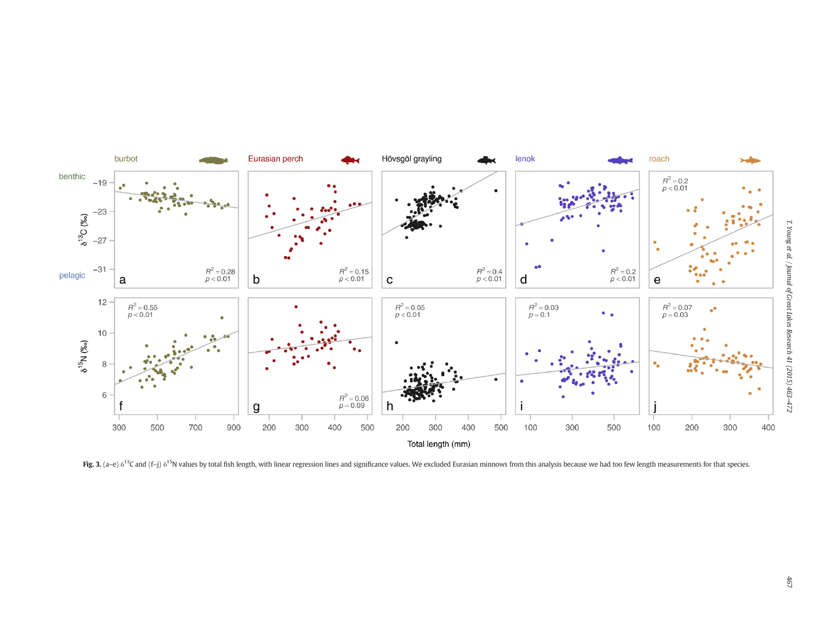<span id="page-4-0"></span>

Fig. 3. (a-e)  $\delta^{13}$ C and (f-i)  $\delta^{15}$ N values by total fish length, with linear regression lines and significance values. We excluded Eurasian minnows from this analysis because we had too few length measurements for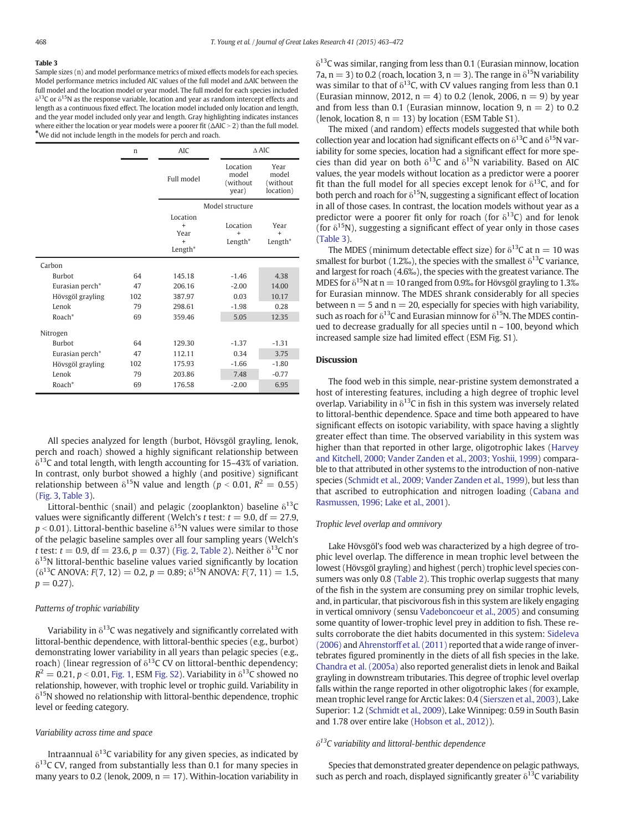#### <span id="page-5-0"></span>Table 3

Sample sizes (n) and model performance metrics of mixed effects models for each species. Model performance metrics included AIC values of the full model and ΔAIC between the full model and the location model or year model. The full model for each species included  $\delta^{13}$ C or  $\delta^{15}$ N as the response variable, location and year as random intercept effects and length as a continuous fixed effect. The location model included only location and length, and the year model included only year and length. Gray highlighting indicates instances where either the location or year models were a poorer fit  $(\Delta AIC > 2)$  than the full model. ⁎We did not include length in the models for perch and roach.

|                  | n   | <b>AIC</b>                                            |                                        | $\wedge$ AIC                           |  |  |  |
|------------------|-----|-------------------------------------------------------|----------------------------------------|----------------------------------------|--|--|--|
|                  |     | Full model                                            | Location<br>model<br>(without<br>year) | Year<br>model<br>(without<br>location) |  |  |  |
|                  |     | Model structure                                       |                                        |                                        |  |  |  |
|                  |     | Location<br>$\ddot{}$<br>Year<br>$\ddot{}$<br>Length* | Location<br>$\ddot{}$<br>Length*       | Year<br>$\ddot{}$<br>Length*           |  |  |  |
| Carbon           |     |                                                       |                                        |                                        |  |  |  |
| <b>Burbot</b>    | 64  | 145.18                                                | $-1.46$                                | 4.38                                   |  |  |  |
| Eurasian perch*  | 47  | 206.16                                                | $-2.00$                                | 14.00                                  |  |  |  |
| Hövsgöl grayling | 102 | 387.97                                                | 0.03                                   | 10.17                                  |  |  |  |
| Lenok            | 79  | 298.61                                                | $-1.98$                                | 0.28                                   |  |  |  |
| $R$ oach $*$     | 69  | 359.46                                                | 5.05                                   | 12.35                                  |  |  |  |
| Nitrogen         |     |                                                       |                                        |                                        |  |  |  |
| <b>Burbot</b>    | 64  | 129.30                                                | $-1.37$                                | $-1.31$                                |  |  |  |
| Eurasian perch*  | 47  | 112.11                                                | 0.34                                   | 3.75                                   |  |  |  |
| Hövsgöl grayling | 102 | 175.93                                                | $-1.66$                                | $-1.80$                                |  |  |  |
| Lenok            | 79  | 203.86                                                | 7.48                                   | $-0.77$                                |  |  |  |
| Roach*           | 69  | 176.58                                                | $-2.00$                                | 6.95                                   |  |  |  |

All species analyzed for length (burbot, Hövsgöl grayling, lenok, perch and roach) showed a highly significant relationship between  $\delta^{13}$ C and total length, with length accounting for 15–43% of variation. In contrast, only burbot showed a highly (and positive) significant relationship between  $\delta^{15}$ N value and length ( $p < 0.01$ ,  $R^2 = 0.55$ ) [\(Fig. 3,](#page-4-0) Table 3).

Littoral-benthic (snail) and pelagic (zooplankton) baseline  $\delta^{13}C$ values were significantly different (Welch's t test:  $t = 9.0$ , df = 27.9,  $p < 0.01$ ). Littoral-benthic baseline  $\delta^{15}N$  values were similar to those of the pelagic baseline samples over all four sampling years (Welch's t test:  $t = 0.9$ , df = 23.6,  $p = 0.37$ ) ([Fig. 2](#page-3-0), [Table 2](#page-2-0)). Neither  $\delta^{13}C$  nor  $\delta^{15}$ N littoral-benthic baseline values varied significantly by location  $(\delta^{13}$ C ANOVA:  $F(7, 12) = 0.2$ ,  $p = 0.89$ ;  $\delta^{15}$ N ANOVA:  $F(7, 11) = 1.5$ ,  $p = 0.27$ ).

#### Patterns of trophic variability

Variability in  $\delta^{13}$ C was negatively and significantly correlated with littoral-benthic dependence, with littoral-benthic species (e.g., burbot) demonstrating lower variability in all years than pelagic species (e.g., roach) (linear regression of  $\delta^{13}$ C CV on littoral-benthic dependency;  $R^2 = 0.21$ ,  $p < 0.01$ , [Fig. 1](#page-1-0), ESM [Fig. S2\)](#page-3-0). Variability in  $\delta^{13}$ C showed no relationship, however, with trophic level or trophic guild. Variability in  $\delta^{15}$ N showed no relationship with littoral-benthic dependence, trophic level or feeding category.

#### Variability across time and space

Intraannual  $\delta^{13}$ C variability for any given species, as indicated by  $\delta^{13}$ C CV, ranged from substantially less than 0.1 for many species in many years to 0.2 (lenok, 2009,  $n = 17$ ). Within-location variability in  $\delta^{13}$ C was similar, ranging from less than 0.1 (Eurasian minnow, location 7a, n = 3) to 0.2 (roach, location 3, n = 3). The range in  $\delta^{15}N$  variability was similar to that of  $\delta^{13}$ C, with CV values ranging from less than 0.1 (Eurasian minnow, 2012,  $n = 4$ ) to 0.2 (lenok, 2006,  $n = 9$ ) by year and from less than 0.1 (Eurasian minnow, location 9,  $n = 2$ ) to 0.2 (lenok, location 8,  $n = 13$ ) by location (ESM Table S1).

The mixed (and random) effects models suggested that while both collection year and location had significant effects on  $\delta^{13}$ C and  $\delta^{15}$ N variability for some species, location had a significant effect for more species than did year on both  $\delta^{13}$ C and  $\delta^{15}$ N variability. Based on AIC values, the year models without location as a predictor were a poorer fit than the full model for all species except lenok for  $\delta^{13}$ C, and for both perch and roach for  $\delta^{15}N$ , suggesting a significant effect of location in all of those cases. In contrast, the location models without year as a predictor were a poorer fit only for roach (for  $\delta^{13}C$ ) and for lenok (for  $\delta^{15}N$ ), suggesting a significant effect of year only in those cases (Table 3).

The MDES (minimum detectable effect size) for  $\delta^{13}$ C at n = 10 was smallest for burbot (1.2‰), the species with the smallest  $\delta^{13}$ C variance, and largest for roach (4.6‰), the species with the greatest variance. The MDES for  $\delta^{15}$ N at n = 10 ranged from 0.9‰ for Hövsgöl grayling to 1.3‰ for Eurasian minnow. The MDES shrank considerably for all species between  $n = 5$  and  $n = 20$ , especially for species with high variability, such as roach for  $\delta^{13}$ C and Eurasian minnow for  $\delta^{15}$ N. The MDES continued to decrease gradually for all species until  $n \sim 100$ , beyond which increased sample size had limited effect (ESM Fig. S1).

#### **Discussion**

The food web in this simple, near-pristine system demonstrated a host of interesting features, including a high degree of trophic level overlap. Variability in  $\delta^{13}$ C in fish in this system was inversely related to littoral-benthic dependence. Space and time both appeared to have significant effects on isotopic variability, with space having a slightly greater effect than time. The observed variability in this system was higher than that reported in other large, oligotrophic lakes ([Harvey](#page-8-0) [and Kitchell, 2000; Vander Zanden et al., 2003; Yoshii, 1999](#page-8-0)) comparable to that attributed in other systems to the introduction of non-native species [\(Schmidt et al., 2009; Vander Zanden et al., 1999\)](#page-9-0), but less than that ascribed to eutrophication and nitrogen loading ([Cabana and](#page-8-0) [Rasmussen, 1996; Lake et al., 2001](#page-8-0)).

#### Trophic level overlap and omnivory

Lake Hövsgöl's food web was characterized by a high degree of trophic level overlap. The difference in mean trophic level between the lowest (Hövsgöl grayling) and highest (perch) trophic level species consumers was only 0.8 [\(Table 2\)](#page-2-0). This trophic overlap suggests that many of the fish in the system are consuming prey on similar trophic levels, and, in particular, that piscivorous fish in this system are likely engaging in vertical omnivory (sensu [Vadeboncoeur et al., 2005\)](#page-9-0) and consuming some quantity of lower-trophic level prey in addition to fish. These results corroborate the diet habits documented in this system: [Sideleva](#page-9-0) [\(2006\)](#page-9-0) and [Ahrenstorff et al. \(2011\)](#page-8-0) reported that a wide range of invertebrates figured prominently in the diets of all fish species in the lake. [Chandra et al. \(2005a\)](#page-8-0) also reported generalist diets in lenok and Baikal grayling in downstream tributaries. This degree of trophic level overlap falls within the range reported in other oligotrophic lakes (for example, mean trophic level range for Arctic lakes: 0.4 ([Sierszen et al., 2003\)](#page-9-0), Lake Superior: 1.2 [\(Schmidt et al., 2009](#page-9-0)), Lake Winnipeg: 0.59 in South Basin and 1.78 over entire lake [\(Hobson et al., 2012](#page-8-0))).

## $\delta^{13}$ C variability and littoral-benthic dependence

Species that demonstrated greater dependence on pelagic pathways, such as perch and roach, displayed significantly greater  $\delta^{13}$ C variability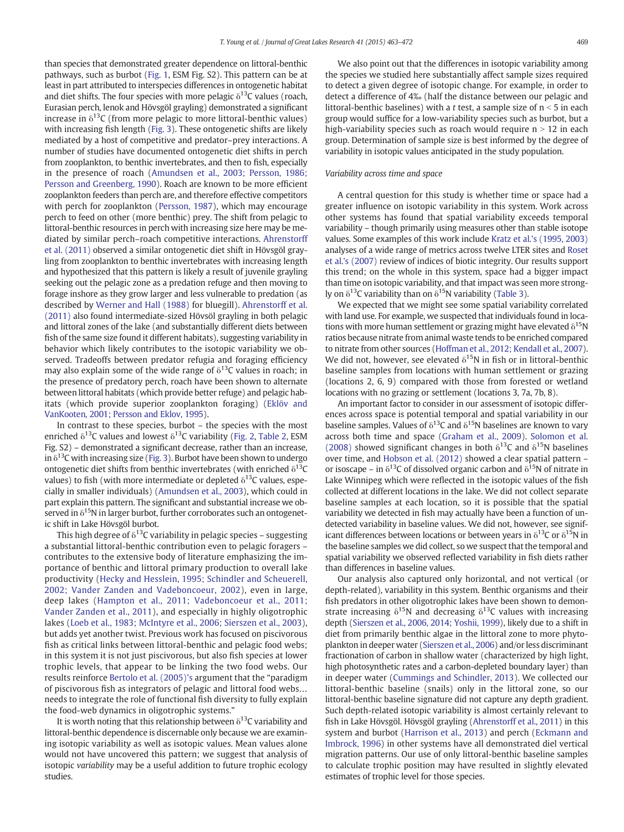than species that demonstrated greater dependence on littoral-benthic pathways, such as burbot [\(Fig. 1,](#page-1-0) ESM Fig. S2). This pattern can be at least in part attributed to interspecies differences in ontogenetic habitat and diet shifts. The four species with more pelagic  $\delta^{13}$ C values (roach, Eurasian perch, lenok and Hövsgöl grayling) demonstrated a significant increase in  $\delta^{13}$ C (from more pelagic to more littoral-benthic values) with increasing fish length ([Fig. 3\)](#page-4-0). These ontogenetic shifts are likely mediated by a host of competitive and predator–prey interactions. A number of studies have documented ontogenetic diet shifts in perch from zooplankton, to benthic invertebrates, and then to fish, especially in the presence of roach ([Amundsen et al., 2003; Persson, 1986;](#page-8-0) [Persson and Greenberg, 1990](#page-8-0)). Roach are known to be more efficient zooplankton feeders than perch are, and therefore effective competitors with perch for zooplankton ([Persson, 1987](#page-9-0)), which may encourage perch to feed on other (more benthic) prey. The shift from pelagic to littoral-benthic resources in perch with increasing size here may be mediated by similar perch–roach competitive interactions. [Ahrenstorff](#page-8-0) [et al. \(2011\)](#page-8-0) observed a similar ontogenetic diet shift in Hövsgöl grayling from zooplankton to benthic invertebrates with increasing length and hypothesized that this pattern is likely a result of juvenile grayling seeking out the pelagic zone as a predation refuge and then moving to forage inshore as they grow larger and less vulnerable to predation (as described by [Werner and Hall \(1988\)](#page-9-0) for bluegill). [Ahrenstorff et al.](#page-8-0) [\(2011\)](#page-8-0) also found intermediate-sized Hövsöl grayling in both pelagic and littoral zones of the lake (and substantially different diets between fish of the same size found it different habitats), suggesting variability in behavior which likely contributes to the isotopic variability we observed. Tradeoffs between predator refugia and foraging efficiency may also explain some of the wide range of  $\delta^{13}$ C values in roach; in the presence of predatory perch, roach have been shown to alternate between littoral habitats (which provide better refuge) and pelagic habitats (which provide superior zooplankton foraging) ([Eklöv and](#page-8-0) [VanKooten, 2001; Persson and Eklov, 1995](#page-8-0)).

In contrast to these species, burbot – the species with the most enriched  $\delta^{13}$ C values and lowest  $\delta^{13}$ C variability [\(Fig. 2,](#page-3-0) [Table 2](#page-2-0), ESM Fig. S2) – demonstrated a significant decrease, rather than an increase, in  $\delta^{13}$ C with increasing size [\(Fig. 3](#page-4-0)). Burbot have been shown to undergo ontogenetic diet shifts from benthic invertebrates (with enriched  $\delta^{13}$ C values) to fish (with more intermediate or depleted  $\delta^{13}$ C values, especially in smaller individuals) [\(Amundsen et al., 2003](#page-8-0)), which could in part explain this pattern. The significant and substantial increase we observed in  $\delta^{15}$ N in larger burbot, further corroborates such an ontogenetic shift in Lake Hövsgöl burbot.

This high degree of  $\delta^{13}$ C variability in pelagic species – suggesting a substantial littoral-benthic contribution even to pelagic foragers – contributes to the extensive body of literature emphasizing the importance of benthic and littoral primary production to overall lake productivity [\(Hecky and Hesslein, 1995; Schindler and Scheuerell,](#page-8-0) [2002; Vander Zanden and Vadeboncoeur, 2002\)](#page-8-0), even in large, deep lakes ([Hampton et al., 2011; Vadeboncoeur et al., 2011;](#page-8-0) [Vander Zanden et al., 2011](#page-8-0)), and especially in highly oligotrophic lakes [\(Loeb et al., 1983; McIntyre et al., 2006; Sierszen et al., 2003](#page-9-0)), but adds yet another twist. Previous work has focused on piscivorous fish as critical links between littoral-benthic and pelagic food webs; in this system it is not just piscivorous, but also fish species at lower trophic levels, that appear to be linking the two food webs. Our results reinforce [Bertolo et al. \(2005\)'s](#page-8-0) argument that the "paradigm of piscivorous fish as integrators of pelagic and littoral food webs… needs to integrate the role of functional fish diversity to fully explain the food-web dynamics in oligotrophic systems."

It is worth noting that this relationship between  $\delta^{13}$ C variability and littoral-benthic dependence is discernable only because we are examining isotopic variability as well as isotopic values. Mean values alone would not have uncovered this pattern; we suggest that analysis of isotopic variability may be a useful addition to future trophic ecology studies.

We also point out that the differences in isotopic variability among the species we studied here substantially affect sample sizes required to detect a given degree of isotopic change. For example, in order to detect a difference of 4‰ (half the distance between our pelagic and littoral-benthic baselines) with a t test, a sample size of  $n < 5$  in each group would suffice for a low-variability species such as burbot, but a high-variability species such as roach would require  $n > 12$  in each group. Determination of sample size is best informed by the degree of variability in isotopic values anticipated in the study population.

#### Variability across time and space

A central question for this study is whether time or space had a greater influence on isotopic variability in this system. Work across other systems has found that spatial variability exceeds temporal variability – though primarily using measures other than stable isotope values. Some examples of this work include [Kratz et al.'s \(1995, 2003\)](#page-9-0) analyses of a wide range of metrics across twelve LTER sites and [Roset](#page-9-0) [et al.'s \(2007\)](#page-9-0) review of indices of biotic integrity. Our results support this trend; on the whole in this system, space had a bigger impact than time on isotopic variability, and that impact was seen more strongly on  $\delta^{13}$ C variability than on  $\delta^{15}$ N variability [\(Table 3\)](#page-5-0).

We expected that we might see some spatial variability correlated with land use. For example, we suspected that individuals found in locations with more human settlement or grazing might have elevated  $\delta^{15}N$ ratios because nitrate from animal waste tends to be enriched compared to nitrate from other sources ([Hoffman et al., 2012; Kendall et al., 2007](#page-8-0)). We did not, however, see elevated  $\delta^{15}N$  in fish or in littoral-benthic baseline samples from locations with human settlement or grazing (locations 2, 6, 9) compared with those from forested or wetland locations with no grazing or settlement (locations 3, 7a, 7b, 8).

An important factor to consider in our assessment of isotopic differences across space is potential temporal and spatial variability in our baseline samples. Values of  $\delta^{13}$ C and  $\delta^{15}$ N baselines are known to vary across both time and space [\(Graham et al., 2009\)](#page-8-0). [Solomon et al.](#page-9-0) [\(2008\)](#page-9-0) showed significant changes in both  $\delta^{13}$ C and  $\delta^{15}$ N baselines over time, and [Hobson et al. \(2012\)](#page-8-0) showed a clear spatial pattern – or isoscape – in  $\delta^{13}$ C of dissolved organic carbon and  $\delta^{15}$ N of nitrate in Lake Winnipeg which were reflected in the isotopic values of the fish collected at different locations in the lake. We did not collect separate baseline samples at each location, so it is possible that the spatial variability we detected in fish may actually have been a function of undetected variability in baseline values. We did not, however, see significant differences between locations or between years in  $\delta^{13}$ C or  $\delta^{15}$ N in the baseline samples we did collect, so we suspect that the temporal and spatial variability we observed reflected variability in fish diets rather than differences in baseline values.

Our analysis also captured only horizontal, and not vertical (or depth-related), variability in this system. Benthic organisms and their fish predators in other oligotrophic lakes have been shown to demonstrate increasing  $\delta^{15}N$  and decreasing  $\delta^{13}C$  values with increasing depth [\(Sierszen et al., 2006, 2014; Yoshii, 1999](#page-9-0)), likely due to a shift in diet from primarily benthic algae in the littoral zone to more phytoplankton in deeper water ([Sierszen et al., 2006](#page-9-0)) and/or less discriminant fractionation of carbon in shallow water (characterized by high light, high photosynthetic rates and a carbon-depleted boundary layer) than in deeper water [\(Cummings and Schindler, 2013\)](#page-8-0). We collected our littoral-benthic baseline (snails) only in the littoral zone, so our littoral-benthic baseline signature did not capture any depth gradient. Such depth-related isotopic variability is almost certainly relevant to fish in Lake Hövsgöl. Hövsgöl grayling ([Ahrenstorff et al., 2011](#page-8-0)) in this system and burbot [\(Harrison et al., 2013\)](#page-8-0) and perch [\(Eckmann and](#page-8-0) [Imbrock, 1996\)](#page-8-0) in other systems have all demonstrated diel vertical migration patterns. Our use of only littoral-benthic baseline samples to calculate trophic position may have resulted in slightly elevated estimates of trophic level for those species.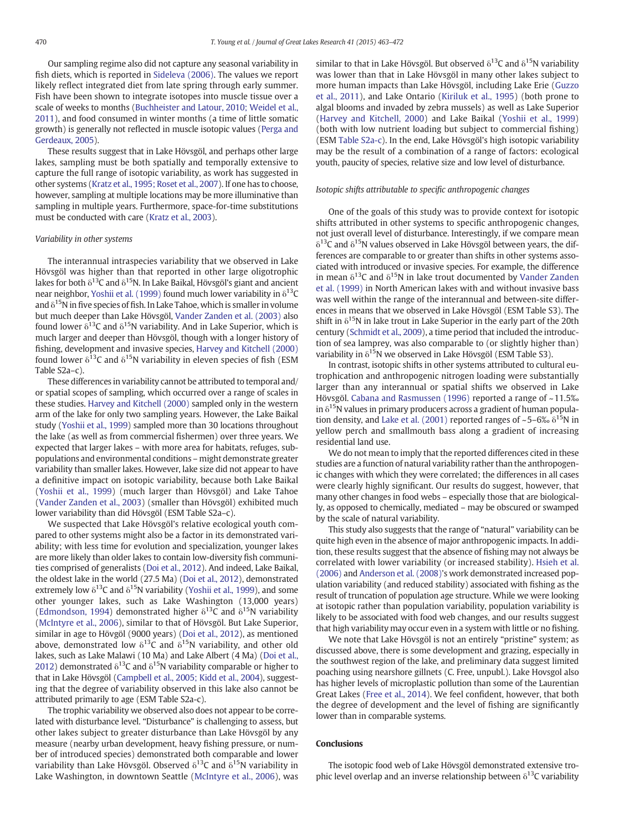Our sampling regime also did not capture any seasonal variability in fish diets, which is reported in [Sideleva \(2006\)](#page-9-0). The values we report likely reflect integrated diet from late spring through early summer. Fish have been shown to integrate isotopes into muscle tissue over a scale of weeks to months [\(Buchheister and Latour, 2010; Weidel et al.,](#page-8-0) [2011\)](#page-8-0), and food consumed in winter months (a time of little somatic growth) is generally not reflected in muscle isotopic values ([Perga and](#page-9-0) [Gerdeaux, 2005\)](#page-9-0).

These results suggest that in Lake Hövsgöl, and perhaps other large lakes, sampling must be both spatially and temporally extensive to capture the full range of isotopic variability, as work has suggested in other systems ([Kratz et al., 1995; Roset et al., 2007](#page-9-0)). If one has to choose, however, sampling at multiple locations may be more illuminative than sampling in multiple years. Furthermore, space-for-time substitutions must be conducted with care ([Kratz et al., 2003](#page-9-0)).

#### Variability in other systems

The interannual intraspecies variability that we observed in Lake Hövsgöl was higher than that reported in other large oligotrophic lakes for both  $\delta^{13}$ C and  $\delta^{15}$ N. In Lake Baikal, Hövsgöl's giant and ancient near neighbor, [Yoshii et al. \(1999\)](#page-9-0) found much lower variability in  $\delta^{13}C$ and  $\delta^{15}$ N in five species of fish. In Lake Tahoe, which is smaller in volume but much deeper than Lake Hövsgöl, [Vander Zanden et al. \(2003\)](#page-9-0) also found lower  $\delta^{13}$ C and  $\delta^{15}$ N variability. And in Lake Superior, which is much larger and deeper than Hövsgöl, though with a longer history of fishing, development and invasive species, [Harvey and Kitchell \(2000\)](#page-8-0) found lower  $\delta^{13}$ C and  $\delta^{15}$ N variability in eleven species of fish (ESM Table S2a–c).

These differences in variability cannot be attributed to temporal and/ or spatial scopes of sampling, which occurred over a range of scales in these studies. [Harvey and Kitchell \(2000\)](#page-8-0) sampled only in the western arm of the lake for only two sampling years. However, the Lake Baikal study [\(Yoshii et al., 1999\)](#page-9-0) sampled more than 30 locations throughout the lake (as well as from commercial fishermen) over three years. We expected that larger lakes – with more area for habitats, refuges, subpopulations and environmental conditions – might demonstrate greater variability than smaller lakes. However, lake size did not appear to have a definitive impact on isotopic variability, because both Lake Baikal [\(Yoshii et al., 1999\)](#page-9-0) (much larger than Hövsgöl) and Lake Tahoe [\(Vander Zanden et al., 2003](#page-9-0)) (smaller than Hövsgöl) exhibited much lower variability than did Hövsgöl (ESM Table S2a–c).

We suspected that Lake Hövsgöl's relative ecological youth compared to other systems might also be a factor in its demonstrated variability; with less time for evolution and specialization, younger lakes are more likely than older lakes to contain low-diversity fish communities comprised of generalists ([Doi et al., 2012](#page-8-0)). And indeed, Lake Baikal, the oldest lake in the world (27.5 Ma) ([Doi et al., 2012\)](#page-8-0), demonstrated extremely low  $\delta^{13}$ C and  $\delta^{15}$ N variability [\(Yoshii et al., 1999\)](#page-9-0), and some other younger lakes, such as Lake Washington (13,000 years) [\(Edmondson, 1994](#page-8-0)) demonstrated higher  $\delta^{13}$ C and  $\delta^{15}$ N variability [\(McIntyre et al., 2006\)](#page-9-0), similar to that of Hövsgöl. But Lake Superior, similar in age to Hövgöl (9000 years) [\(Doi et al., 2012](#page-8-0)), as mentioned above, demonstrated low  $\delta^{13}$ C and  $\delta^{15}$ N variability, and other old lakes, such as Lake Malawi (10 Ma) and Lake Albert (4 Ma) [\(Doi et al.,](#page-8-0) [2012\)](#page-8-0) demonstrated  $\delta^{13}$ C and  $\delta^{15}$ N variability comparable or higher to that in Lake Hövsgöl ([Campbell et al., 2005; Kidd et al., 2004\)](#page-8-0), suggesting that the degree of variability observed in this lake also cannot be attributed primarily to age (ESM Table S2a-c).

The trophic variability we observed also does not appear to be correlated with disturbance level. "Disturbance" is challenging to assess, but other lakes subject to greater disturbance than Lake Hövsgöl by any measure (nearby urban development, heavy fishing pressure, or number of introduced species) demonstrated both comparable and lower variability than Lake Hövsgöl. Observed  $\delta^{13}$ C and  $\delta^{15}$ N variability in Lake Washington, in downtown Seattle ([McIntyre et al., 2006](#page-9-0)), was similar to that in Lake Hövsgöl. But observed  $\delta^{13}$ C and  $\delta^{15}$ N variability was lower than that in Lake Hövsgöl in many other lakes subject to more human impacts than Lake Hövsgöl, including Lake Erie [\(Guzzo](#page-8-0) [et al., 2011](#page-8-0)), and Lake Ontario ([Kiriluk et al., 1995](#page-9-0)) (both prone to algal blooms and invaded by zebra mussels) as well as Lake Superior [\(Harvey and Kitchell, 2000\)](#page-8-0) and Lake Baikal ([Yoshii et al., 1999](#page-9-0)) (both with low nutrient loading but subject to commercial fishing) (ESM [Table S2a-c](#page-5-0)). In the end, Lake Hövsgöl's high isotopic variability may be the result of a combination of a range of factors: ecological youth, paucity of species, relative size and low level of disturbance.

#### Isotopic shifts attributable to specific anthropogenic changes

One of the goals of this study was to provide context for isotopic shifts attributed in other systems to specific anthropogenic changes, not just overall level of disturbance. Interestingly, if we compare mean  $\delta^{13}$ C and  $\delta^{15}$ N values observed in Lake Hövsgöl between years, the differences are comparable to or greater than shifts in other systems associated with introduced or invasive species. For example, the difference in mean  $\delta^{13}$ C and  $\delta^{15}$ N in lake trout documented by [Vander Zanden](#page-9-0) [et al. \(1999\)](#page-9-0) in North American lakes with and without invasive bass was well within the range of the interannual and between-site differences in means that we observed in Lake Hövsgöl (ESM Table S3). The shift in  $\delta^{15}$ N in lake trout in Lake Superior in the early part of the 20th century [\(Schmidt et al., 2009\)](#page-9-0), a time period that included the introduction of sea lamprey, was also comparable to (or slightly higher than) variability in  $\delta^{15}N$  we observed in Lake Hövsgöl (ESM Table S3).

In contrast, isotopic shifts in other systems attributed to cultural eutrophication and anthropogenic nitrogen loading were substantially larger than any interannual or spatial shifts we observed in Lake Hövsgöl. [Cabana and Rasmussen \(1996\)](#page-8-0) reported a range of ~11.5‰ in  $\delta^{15}$ N values in primary producers across a gradient of human popula-tion density, and [Lake et al. \(2001\)](#page-9-0) reported ranges of ~5–6‰  $\delta^{15}N$  in yellow perch and smallmouth bass along a gradient of increasing residential land use.

We do not mean to imply that the reported differences cited in these studies are a function of natural variability rather than the anthropogenic changes with which they were correlated; the differences in all cases were clearly highly significant. Our results do suggest, however, that many other changes in food webs – especially those that are biologically, as opposed to chemically, mediated – may be obscured or swamped by the scale of natural variability.

This study also suggests that the range of "natural" variability can be quite high even in the absence of major anthropogenic impacts. In addition, these results suggest that the absence of fishing may not always be correlated with lower variability (or increased stability). [Hsieh et al.](#page-8-0) [\(2006\)](#page-8-0) and [Anderson et al. \(2008\)](#page-8-0)'s work demonstrated increased population variability (and reduced stability) associated with fishing as the result of truncation of population age structure. While we were looking at isotopic rather than population variability, population variability is likely to be associated with food web changes, and our results suggest that high variability may occur even in a system with little or no fishing.

We note that Lake Hövsgöl is not an entirely "pristine" system; as discussed above, there is some development and grazing, especially in the southwest region of the lake, and preliminary data suggest limited poaching using nearshore gillnets (C. Free, unpubl.). Lake Hovsgol also has higher levels of microplastic pollution than some of the Laurentian Great Lakes ([Free et al., 2014](#page-8-0)). We feel confident, however, that both the degree of development and the level of fishing are significantly lower than in comparable systems.

#### **Conclusions**

The isotopic food web of Lake Hövsgöl demonstrated extensive trophic level overlap and an inverse relationship between  $\delta^{13}$ C variability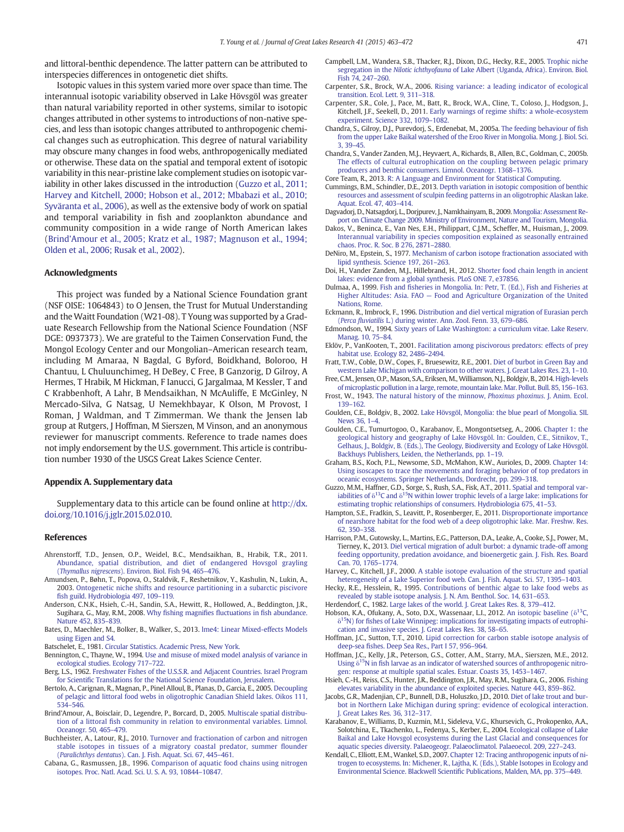<span id="page-8-0"></span>and littoral-benthic dependence. The latter pattern can be attributed to interspecies differences in ontogenetic diet shifts.

Isotopic values in this system varied more over space than time. The interannual isotopic variability observed in Lake Hövsgöl was greater than natural variability reported in other systems, similar to isotopic changes attributed in other systems to introductions of non-native species, and less than isotopic changes attributed to anthropogenic chemical changes such as eutrophication. This degree of natural variability may obscure many changes in food webs, anthropogenically mediated or otherwise. These data on the spatial and temporal extent of isotopic variability in this near-pristine lake complement studies on isotopic variability in other lakes discussed in the introduction (Guzzo et al., 2011; Harvey and Kitchell, 2000; Hobson et al., 2012; Mbabazi et al., 2010; Syväranta et al., 2006), as well as the extensive body of work on spatial and temporal variability in fish and zooplankton abundance and community composition in a wide range of North American lakes (Brind'Amour et al., 2005; Kratz et al., 1987; Magnuson et al., 1994; Olden et al., 2006; Rusak et al., 2002).

# Acknowledgments

This project was funded by a National Science Foundation grant (NSF OISE: 1064843) to O Jensen, the Trust for Mutual Understanding and the Waitt Foundation (W21-08). T Young was supported by a Graduate Research Fellowship from the National Science Foundation (NSF DGE: 0937373). We are grateful to the Taimen Conservation Fund, the Mongol Ecology Center and our Mongolian–American research team, including M Amaraa, N Bagdal, G Byford, Boidkhand, Boloroo, H Chantuu, L Chuluunchimeg, H DeBey, C Free, B Ganzorig, D Gilroy, A Hermes, T Hrabik, M Hickman, F Ianucci, G Jargalmaa, M Kessler, T and C Krabbenhoft, A Lahr, B Mendsaikhan, N McAuliffe, E McGinley, N Mercado-Silva, G Natsag, U Nemekhbayar, K Olson, M Provost, I Roman, J Waldman, and T Zimmerman. We thank the Jensen lab group at Rutgers, J Hoffman, M Sierszen, M Vinson, and an anonymous reviewer for manuscript comments. Reference to trade names does not imply endorsement by the U.S. government. This article is contribution number 1930 of the USGS Great Lakes Science Center.

#### Appendix A. Supplementary data

Supplementary data to this article can be found online at [http://dx.](http://dx.doi.org/10.1016/j.jglr.2015.02.010) [doi.org/10.1016/j.jglr.2015.02.010](http://dx.doi.org/10.1016/j.jglr.2015.02.010).

#### **References**

- Ahrenstorff, T.D., Jensen, O.P., Weidel, B.C., Mendsaikhan, B., Hrabik, T.R., 2011. [Abundance, spatial distribution, and diet of endangered Hovsgol grayling](http://refhub.elsevier.com/S0380-1330(15)00058-1/rf0005) (Thymallus nigrescens[\). Environ. Biol. Fish 94, 465](http://refhub.elsevier.com/S0380-1330(15)00058-1/rf0005)–476.
- Amundsen, P., Bøhn, T., Popova, O., Staldvik, F., Reshetnikov, Y., Kashulin, N., Lukin, A., 2003. [Ontogenetic niche shifts and resource partitioning in a subarctic piscivore](http://refhub.elsevier.com/S0380-1330(15)00058-1/rf0010) fi[sh guild. Hydrobiologia 497, 109](http://refhub.elsevier.com/S0380-1330(15)00058-1/rf0010)–119.
- Anderson, C.N.K., Hsieh, C.-H., Sandin, S.A., Hewitt, R., Hollowed, A., Beddington, J.R., Sugihara, G., May, R.M., 2008. Why fishing magnifies fluctuations in fi[sh abundance.](http://refhub.elsevier.com/S0380-1330(15)00058-1/rf0015) [Nature 452, 835](http://refhub.elsevier.com/S0380-1330(15)00058-1/rf0015)–839.
- Bates, D., Maechler, M., Bolker, B., Walker, S., 2013. [lme4: Linear Mixed-effects Models](http://refhub.elsevier.com/S0380-1330(15)00058-1/rf0475) [using Eigen and S4](http://refhub.elsevier.com/S0380-1330(15)00058-1/rf0475).
- Batschelet, E., 1981. [Circular Statistics. Academic Press, New York.](http://refhub.elsevier.com/S0380-1330(15)00058-1/rf0020)
- Bennington, C., Thayne, W., 1994. [Use and misuse of mixed model analysis of variance in](http://refhub.elsevier.com/S0380-1330(15)00058-1/rf0025) [ecological studies. Ecology 717](http://refhub.elsevier.com/S0380-1330(15)00058-1/rf0025)–722.
- Berg, L.S., 1962. [Freshwater Fishes of the U.S.S.R. and Adjacent Countries. Israel Program](http://refhub.elsevier.com/S0380-1330(15)00058-1/rf0480) for Scientifi[c Translations for the National Science Foundation, Jerusalem.](http://refhub.elsevier.com/S0380-1330(15)00058-1/rf0480)
- Bertolo, A., Carignan, R., Magnan, P., Pinel Alloul, B., Planas, D., Garcia, E., 2005. [Decoupling](http://refhub.elsevier.com/S0380-1330(15)00058-1/rf0030) [of pelagic and littoral food webs in oligotrophic Canadian Shield lakes. Oikos 111,](http://refhub.elsevier.com/S0380-1330(15)00058-1/rf0030) [534](http://refhub.elsevier.com/S0380-1330(15)00058-1/rf0030)–546.
- Brind'Amour, A., Boisclair, D., Legendre, P., Borcard, D., 2005. [Multiscale spatial distribu](http://refhub.elsevier.com/S0380-1330(15)00058-1/rf0035)tion of a littoral fi[sh community in relation to environmental variables. Limnol.](http://refhub.elsevier.com/S0380-1330(15)00058-1/rf0035) [Oceanogr. 50, 465](http://refhub.elsevier.com/S0380-1330(15)00058-1/rf0035)–479.
- Buchheister, A., Latour, R.J., 2010. [Turnover and fractionation of carbon and nitrogen](http://refhub.elsevier.com/S0380-1330(15)00058-1/rf0040) [stable isotopes in tissues of a migratory coastal predator, summer](http://refhub.elsevier.com/S0380-1330(15)00058-1/rf0040) flounder (Paralichthys dentatus[\). Can. J. Fish. Aquat. Sci. 67, 445](http://refhub.elsevier.com/S0380-1330(15)00058-1/rf0040)–461.
- Cabana, G., Rasmussen, J.B., 1996. [Comparison of aquatic food chains using nitrogen](http://refhub.elsevier.com/S0380-1330(15)00058-1/rf0045) [isotopes. Proc. Natl. Acad. Sci. U. S. A. 93, 10844](http://refhub.elsevier.com/S0380-1330(15)00058-1/rf0045)–10847.
- Campbell, L.M., Wandera, S.B., Thacker, R.J., Dixon, D.G., Hecky, R.E., 2005. [Trophic niche](http://refhub.elsevier.com/S0380-1330(15)00058-1/rf0050) segregation in the Nilotic ichthyofauna [of Lake Albert \(Uganda, Africa\). Environ. Biol.](http://refhub.elsevier.com/S0380-1330(15)00058-1/rf0050) [Fish 74, 247](http://refhub.elsevier.com/S0380-1330(15)00058-1/rf0050)–260.
- Carpenter, S.R., Brock, W.A., 2006. [Rising variance: a leading indicator of ecological](http://refhub.elsevier.com/S0380-1330(15)00058-1/rf0055) [transition. Ecol. Lett. 9, 311](http://refhub.elsevier.com/S0380-1330(15)00058-1/rf0055)–318.
- Carpenter, S.R., Cole, J., Pace, M., Batt, R., Brock, W.A., Cline, T., Coloso, J., Hodgson, J., Kitchell, J.F., Seekell, D., 2011. [Early warnings of regime shifts: a whole-ecosystem](http://refhub.elsevier.com/S0380-1330(15)00058-1/rf0060) [experiment. Science 332, 1079](http://refhub.elsevier.com/S0380-1330(15)00058-1/rf0060)–1082.
- Chandra, S., Gilroy, D.J., Purevdorj, S., Erdenebat, M., 2005a. [The feeding behaviour of](http://refhub.elsevier.com/S0380-1330(15)00058-1/rf0065) fish [from the upper Lake Baikal watershed of the Eroo River in Mongolia. Mong. J. Biol. Sci.](http://refhub.elsevier.com/S0380-1330(15)00058-1/rf0065) [3, 39](http://refhub.elsevier.com/S0380-1330(15)00058-1/rf0065)–45.
- Chandra, S., Vander Zanden, M.J., Heyvaert, A., Richards, B., Allen, B.C., Goldman, C., 2005b. [The effects of cultural eutrophication on the coupling between pelagic primary](http://refhub.elsevier.com/S0380-1330(15)00058-1/rf0070) [producers and benthic consumers. Limnol. Oceanogr. 1368](http://refhub.elsevier.com/S0380-1330(15)00058-1/rf0070)–1376.
- Core Team, R., 2013. [R: A Language and Environment for Statistical Computing](http://refhub.elsevier.com/S0380-1330(15)00058-1/rf0485).
- Cummings, B.M., Schindler, D.E., 2013. [Depth variation in isotopic composition of benthic](http://refhub.elsevier.com/S0380-1330(15)00058-1/rf0075) [resources and assessment of sculpin feeding patterns in an oligotrophic Alaskan lake.](http://refhub.elsevier.com/S0380-1330(15)00058-1/rf0075) [Aquat. Ecol. 47, 403](http://refhub.elsevier.com/S0380-1330(15)00058-1/rf0075)–414.
- Dagvadorj, D., Natsagdorj, L., Dorjpurev, J., Namkhainyam, B., 2009. [Mongolia: Assessment Re](http://refhub.elsevier.com/S0380-1330(15)00058-1/rf0080)[port on Climate Change 2009. Ministry of Environment, Nature and Tourism, Mongolia.](http://refhub.elsevier.com/S0380-1330(15)00058-1/rf0080)
- Dakos, V., Beninca, E., Van Nes, E.H., Philippart, C.J.M., Scheffer, M., Huisman, J., 2009. [Interannual variability in species composition explained as seasonally entrained](http://refhub.elsevier.com/S0380-1330(15)00058-1/rf0085) [chaos. Proc. R. Soc. B 276, 2871](http://refhub.elsevier.com/S0380-1330(15)00058-1/rf0085)–2880.
- DeNiro, M., Epstein, S., 1977. [Mechanism of carbon isotope fractionation associated with](http://refhub.elsevier.com/S0380-1330(15)00058-1/rf0090) [lipid synthesis. Science 197, 261](http://refhub.elsevier.com/S0380-1330(15)00058-1/rf0090)–263.
- Doi, H., Vander Zanden, M.J., Hillebrand, H., 2012. [Shorter food chain length in ancient](http://refhub.elsevier.com/S0380-1330(15)00058-1/rf0095) [lakes: evidence from a global synthesis. PLoS ONE 7, e37856](http://refhub.elsevier.com/S0380-1330(15)00058-1/rf0095).
- Dulmaa, A., 1999. Fish and fi[sheries in Mongolia. In: Petr, T. \(Ed.\), Fish and Fisheries at](http://refhub.elsevier.com/S0380-1330(15)00058-1/rf0100) Higher Altitudes: Asia. FAO — [Food and Agriculture Organization of the United](http://refhub.elsevier.com/S0380-1330(15)00058-1/rf0100) [Nations, Rome.](http://refhub.elsevier.com/S0380-1330(15)00058-1/rf0100)
- Eckmann, R., Imbrock, F., 1996. [Distribution and diel vertical migration of Eurasian perch](http://refhub.elsevier.com/S0380-1330(15)00058-1/rf0105) (Perca fluviatilis [L.\) during winter. Ann. Zool. Fenn. 33, 679](http://refhub.elsevier.com/S0380-1330(15)00058-1/rf0105)–686.
- Edmondson, W., 1994. [Sixty years of Lake Washington: a curriculum vitae. Lake Reserv.](http://refhub.elsevier.com/S0380-1330(15)00058-1/rf0110) [Manag. 10, 75](http://refhub.elsevier.com/S0380-1330(15)00058-1/rf0110)–84.
- Eklöv, P., VanKooten, T., 2001. [Facilitation among piscivorous predators: effects of prey](http://refhub.elsevier.com/S0380-1330(15)00058-1/rf0115) [habitat use. Ecology 82, 2486](http://refhub.elsevier.com/S0380-1330(15)00058-1/rf0115)–2494.
- Fratt, T.W., Coble, D.W., Copes, F., Bruesewitz, R.E., 2001. [Diet of burbot in Green Bay and](http://refhub.elsevier.com/S0380-1330(15)00058-1/rf0120) [western Lake Michigan with comparison to other waters. J. Great Lakes Res. 23, 1](http://refhub.elsevier.com/S0380-1330(15)00058-1/rf0120)–10.
- Free, C.M., Jensen, O.P., Mason, S.A., Eriksen, M., Williamson, N.J., Boldgiv, B., 2014. [High-levels](http://refhub.elsevier.com/S0380-1330(15)00058-1/rf0125) [of microplastic pollution in a large, remote, mountain lake. Mar. Pollut. Bull. 85, 156](http://refhub.elsevier.com/S0380-1330(15)00058-1/rf0125)–163.
- Frost, W., 1943. [The natural history of the minnow,](http://refhub.elsevier.com/S0380-1330(15)00058-1/rf0130) Phoxinus phoxinus. J. Anim. Ecol. [139](http://refhub.elsevier.com/S0380-1330(15)00058-1/rf0130)–162.
- Goulden, C.E., Boldgiv, B., 2002. [Lake Hövsgöl, Mongolia: the blue pearl of Mongolia. SIL](http://refhub.elsevier.com/S0380-1330(15)00058-1/rf0135) [News 36, 1](http://refhub.elsevier.com/S0380-1330(15)00058-1/rf0135)–4.
- Goulden, C.E., Tumurtogoo, O., Karabanov, E., Mongontsetseg, A., 2006. [Chapter 1: the](http://refhub.elsevier.com/S0380-1330(15)00058-1/rf0490) [geological history and geography of Lake Hövsgöl. In: Goulden, C.E., Sitnikov, T.,](http://refhub.elsevier.com/S0380-1330(15)00058-1/rf0490) [Gelhaus, J., Boldgiv, B. \(Eds.\), The Geology, Biodiversity and Ecology of Lake Hövsgöl.](http://refhub.elsevier.com/S0380-1330(15)00058-1/rf0490) [Backhuys Publishers, Leiden, the Netherlands, pp. 1](http://refhub.elsevier.com/S0380-1330(15)00058-1/rf0490)–19.
- Graham, B.S., Koch, P.L., Newsome, S.D., McMahon, K.W., Aurioles, D., 2009. [Chapter 14:](http://refhub.elsevier.com/S0380-1330(15)00058-1/rf0495) [Using isoscapes to trace the movements and foraging behavior of top predators in](http://refhub.elsevier.com/S0380-1330(15)00058-1/rf0495) [oceanic ecosystems. Springer Netherlands, Dordrecht, pp. 299](http://refhub.elsevier.com/S0380-1330(15)00058-1/rf0495)–318.
- Guzzo, M.M., Haffner, G.D., Sorge, S., Rush, S.A., Fisk, A.T., 2011. [Spatial and temporal var](http://refhub.elsevier.com/S0380-1330(15)00058-1/rf0140)[iabilities](http://refhub.elsevier.com/S0380-1330(15)00058-1/rf0140) [of](http://refhub.elsevier.com/S0380-1330(15)00058-1/rf0140)  $\delta^{13}$ C [and](http://refhub.elsevier.com/S0380-1330(15)00058-1/rf0140)  $\delta^{15}$ N within lower trophic levels of a large lake: implications for [estimating trophic relationships of consumers. Hydrobiologia 675, 41](http://refhub.elsevier.com/S0380-1330(15)00058-1/rf0140)–53.
- Hampton, S.E., Fradkin, S., Leavitt, P., Rosenberger, E., 2011. [Disproportionate importance](http://refhub.elsevier.com/S0380-1330(15)00058-1/rf0145) [of nearshore habitat for the food web of a deep oligotrophic lake. Mar. Freshw. Res.](http://refhub.elsevier.com/S0380-1330(15)00058-1/rf0145) [62, 350](http://refhub.elsevier.com/S0380-1330(15)00058-1/rf0145)–358.
- Harrison, P.M., Gutowsky, L., Martins, E.G., Patterson, D.A., Leake, A., Cooke, S.J., Power, M., Tierney, K., 2013. [Diel vertical migration of adult burbot: a dynamic trade-off among](http://refhub.elsevier.com/S0380-1330(15)00058-1/rf0150) [feeding opportunity, predation avoidance, and bioenergetic gain. J. Fish. Res. Board](http://refhub.elsevier.com/S0380-1330(15)00058-1/rf0150) [Can. 70, 1765](http://refhub.elsevier.com/S0380-1330(15)00058-1/rf0150)–1774.
- Harvey, C., Kitchell, J.F., 2000. [A stable isotope evaluation of the structure and spatial](http://refhub.elsevier.com/S0380-1330(15)00058-1/rf0155) [heterogeneity of a Lake Superior food web. Can. J. Fish. Aquat. Sci. 57, 1395](http://refhub.elsevier.com/S0380-1330(15)00058-1/rf0155)–1403.
- Hecky, R.E., Hesslein, R., 1995. [Contributions of benthic algae to lake food webs as](http://refhub.elsevier.com/S0380-1330(15)00058-1/rf0160) [revealed by stable isotope analysis. J. N. Am. Benthol. Soc. 14, 631](http://refhub.elsevier.com/S0380-1330(15)00058-1/rf0160)–653.
- Herdendorf, C., 1982. [Large lakes of the world. J. Great Lakes Res. 8, 379](http://refhub.elsevier.com/S0380-1330(15)00058-1/rf0165)–412.
- Hobson, K.A., Ofukany, A., Soto, D.X., Wassenaar, L.I., 2012. [An](http://refhub.elsevier.com/S0380-1330(15)00058-1/rf0170) [isotopic](http://refhub.elsevier.com/S0380-1330(15)00058-1/rf0170) [baseline](http://refhub.elsevier.com/S0380-1330(15)00058-1/rf0170) [\(](http://refhub.elsevier.com/S0380-1330(15)00058-1/rf0170)δ<sup>13</sup>C, δ[15N](http://refhub.elsevier.com/S0380-1330(15)00058-1/rf0170)) for fi[shes of Lake Winnipeg: implications for investigating impacts of eutrophi](http://refhub.elsevier.com/S0380-1330(15)00058-1/rf0170)[cation and invasive species. J. Great Lakes Res. 38, 58](http://refhub.elsevier.com/S0380-1330(15)00058-1/rf0170)–65.
- Hoffman, J.C., Sutton, T.T., 2010. [Lipid correction for carbon stable isotope analysis of](http://refhub.elsevier.com/S0380-1330(15)00058-1/rf0180) deep-sea fi[shes. Deep Sea Res., Part I 57, 956](http://refhub.elsevier.com/S0380-1330(15)00058-1/rf0180)–964.
- Hoffman, J.C., Kelly, J.R., Peterson, G.S., Cotter, A.M., Starry, M.A., Sierszen, M.E., 2012.<br>[Using](http://refhub.elsevier.com/S0380-1330(15)00058-1/rf0175)  $\delta^{15}$ N in fi[sh larvae as an indicator of watershed sources of anthropogenic nitro](http://refhub.elsevier.com/S0380-1330(15)00058-1/rf0175)[gen: response at multiple spatial scales. Estuar. Coasts 35, 1453](http://refhub.elsevier.com/S0380-1330(15)00058-1/rf0175)–1467.
- Hsieh, C.-H., Reiss, C.S., Hunter, J.R., Beddington, J.R., May, R.M., Sugihara, G., 2006. [Fishing](http://refhub.elsevier.com/S0380-1330(15)00058-1/rf0185)
- [elevates variability in the abundance of exploited species. Nature 443, 859](http://refhub.elsevier.com/S0380-1330(15)00058-1/rf0185)–862. Jacobs, G.R., Madenjian, C.P., Bunnell, D.B., Holuszko, J.D., 2010. [Diet of lake trout and bur](http://refhub.elsevier.com/S0380-1330(15)00058-1/rf0190)[bot in Northern Lake Michigan during spring: evidence of ecological interaction.](http://refhub.elsevier.com/S0380-1330(15)00058-1/rf0190) [J. Great Lakes Res. 36, 312](http://refhub.elsevier.com/S0380-1330(15)00058-1/rf0190)–317.
- Karabanov, E., Williams, D., Kuzmin, M.I., Sideleva, V.G., Khursevich, G., Prokopenko, A.A., Solotchina, E., Tkachenko, L., Fedenya, S., Kerber, E., 2004. [Ecological collapse of Lake](http://refhub.elsevier.com/S0380-1330(15)00058-1/rf0195) [Baikal and Lake Hovsgol ecosystems during the Last Glacial and consequences for](http://refhub.elsevier.com/S0380-1330(15)00058-1/rf0195) [aquatic species diversity. Palaeogeogr. Palaeoclimatol. Palaeoecol. 209, 227](http://refhub.elsevier.com/S0380-1330(15)00058-1/rf0195)–243.
- Kendall, C., Elliott, E.M.,Wankel, S.D., 2007. [Chapter 12: Tracing anthropogenic inputs of ni](http://refhub.elsevier.com/S0380-1330(15)00058-1/rf0200)[trogen to ecosystems. In: Michener, R., Lajtha, K. \(Eds.\), Stable Isotopes in Ecology and](http://refhub.elsevier.com/S0380-1330(15)00058-1/rf0200) [Environmental Science. Blackwell Scienti](http://refhub.elsevier.com/S0380-1330(15)00058-1/rf0200)fic Publications, Malden, MA, pp. 375–449.